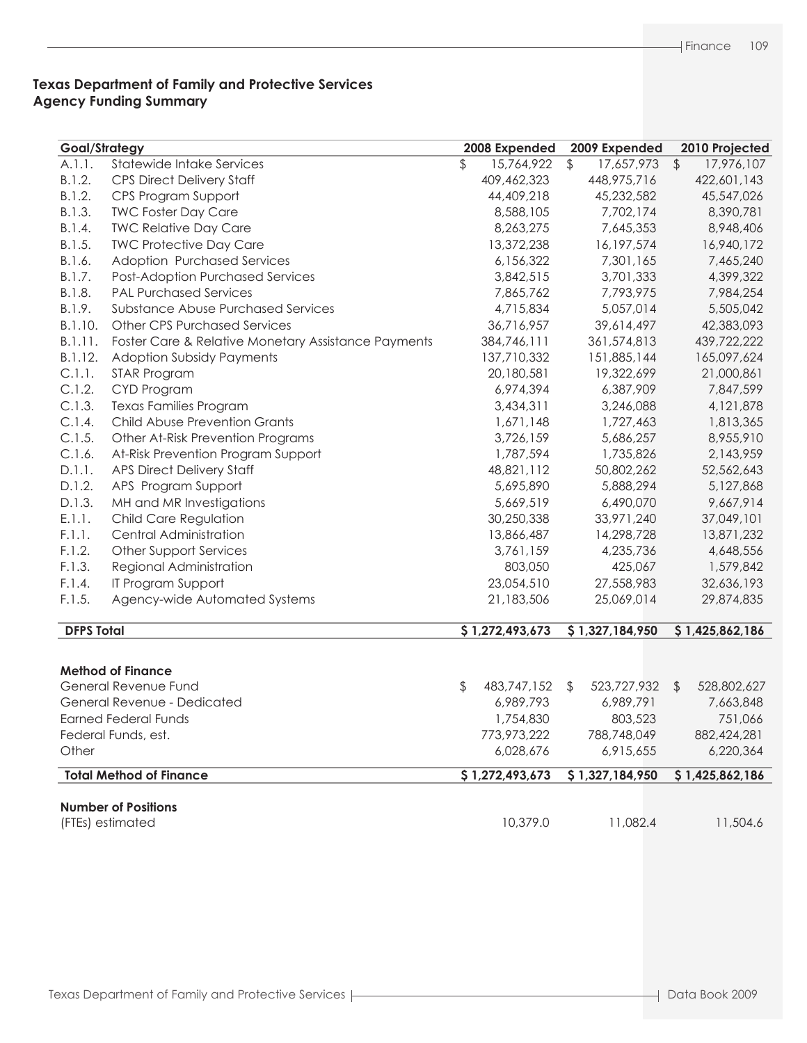# **Texas Department of Family and Protective Services Agency Funding Summary**

| Goal/Strategy     |                                                     | 2008 Expended     |               | 2009 Expended   |               | 2010 Projected  |
|-------------------|-----------------------------------------------------|-------------------|---------------|-----------------|---------------|-----------------|
| A.1.1.            | Statewide Intake Services                           | \$<br>15,764,922  | $\frac{1}{2}$ | 17,657,973      | $\sqrt[6]{2}$ | 17,976,107      |
| B.1.2.            | <b>CPS Direct Delivery Staff</b>                    | 409,462,323       |               | 448,975,716     |               | 422,601,143     |
| B.1.2.            | CPS Program Support                                 | 44,409,218        |               | 45,232,582      |               | 45,547,026      |
| B.1.3.            | <b>TWC Foster Day Care</b>                          | 8,588,105         |               | 7,702,174       |               | 8,390,781       |
| B.1.4.            | <b>TWC Relative Day Care</b>                        | 8,263,275         |               | 7,645,353       |               | 8,948,406       |
| B.1.5.            | <b>TWC Protective Day Care</b>                      | 13,372,238        |               | 16,197,574      |               | 16,940,172      |
| B.1.6.            | Adoption Purchased Services                         | 6,156,322         |               | 7,301,165       |               | 7,465,240       |
| B.1.7.            | Post-Adoption Purchased Services                    | 3,842,515         |               | 3,701,333       |               | 4,399,322       |
| B.1.8.            | <b>PAL Purchased Services</b>                       | 7,865,762         |               | 7,793,975       |               | 7,984,254       |
| B.1.9.            | Substance Abuse Purchased Services                  | 4,715,834         |               | 5,057,014       |               | 5,505,042       |
| B.1.10.           | <b>Other CPS Purchased Services</b>                 | 36,716,957        |               | 39,614,497      |               | 42,383,093      |
| B.1.11.           | Foster Care & Relative Monetary Assistance Payments | 384,746,111       |               | 361,574,813     |               | 439,722,222     |
| B.1.12.           | <b>Adoption Subsidy Payments</b>                    | 137,710,332       |               | 151,885,144     |               | 165,097,624     |
| C.1.1.            | STAR Program                                        | 20,180,581        |               | 19,322,699      |               | 21,000,861      |
| C.1.2.            | CYD Program                                         | 6,974,394         |               | 6,387,909       |               | 7,847,599       |
| C.1.3.            | <b>Texas Families Program</b>                       | 3,434,311         |               | 3,246,088       |               | 4,121,878       |
| C.1.4.            | <b>Child Abuse Prevention Grants</b>                | 1,671,148         |               | 1,727,463       |               | 1,813,365       |
| C.1.5.            | Other At-Risk Prevention Programs                   | 3,726,159         |               | 5,686,257       |               | 8,955,910       |
| C.1.6.            | At-Risk Prevention Program Support                  | 1,787,594         |               | 1,735,826       |               | 2,143,959       |
| D.1.1.            | <b>APS Direct Delivery Staff</b>                    | 48,821,112        |               | 50,802,262      |               | 52,562,643      |
| D.1.2.            | APS Program Support                                 | 5,695,890         |               | 5,888,294       |               | 5,127,868       |
| D.1.3.            | MH and MR Investigations                            | 5,669,519         |               | 6,490,070       |               | 9,667,914       |
| E.1.1.            | Child Care Regulation                               | 30,250,338        |               | 33,971,240      |               | 37,049,101      |
| F.1.1.            | Central Administration                              | 13,866,487        |               | 14,298,728      |               | 13,871,232      |
| F.1.2.            | Other Support Services                              | 3,761,159         |               | 4,235,736       |               | 4,648,556       |
| F.1.3.            | Regional Administration                             | 803,050           |               | 425,067         |               | 1,579,842       |
| F.1.4.            | IT Program Support                                  | 23,054,510        |               | 27,558,983      |               | 32,636,193      |
| F.1.5.            | Agency-wide Automated Systems                       | 21,183,506        |               | 25,069,014      |               | 29,874,835      |
|                   |                                                     |                   |               |                 |               |                 |
| <b>DFPS Total</b> |                                                     | \$1,272,493,673   |               | \$1,327,184,950 |               | \$1,425,862,186 |
|                   |                                                     |                   |               |                 |               |                 |
|                   | <b>Method of Finance</b>                            |                   |               |                 |               |                 |
|                   | General Revenue Fund                                | \$<br>483,747,152 | \$            | 523,727,932     | $\sqrt{2}$    | 528,802,627     |
|                   | General Revenue - Dedicated                         | 6,989,793         |               | 6,989,791       |               | 7,663,848       |
|                   | <b>Earned Federal Funds</b>                         | 1,754,830         |               | 803,523         |               | 751,066         |
|                   | Federal Funds, est.                                 | 773,973,222       |               | 788,748,049     |               | 882,424,281     |
| Other             |                                                     | 6,028,676         |               | 6,915,655       |               | 6,220,364       |
|                   |                                                     |                   |               |                 |               |                 |
|                   | <b>Total Method of Finance</b>                      | \$1,272,493,673   |               | \$1,327,184,950 |               | \$1,425,862,186 |
|                   | <b>Number of Positions</b>                          |                   |               |                 |               |                 |
|                   | (FTEs) estimated                                    | 10,379.0          |               | 11,082.4        |               | 11,504.6        |
|                   |                                                     |                   |               |                 |               |                 |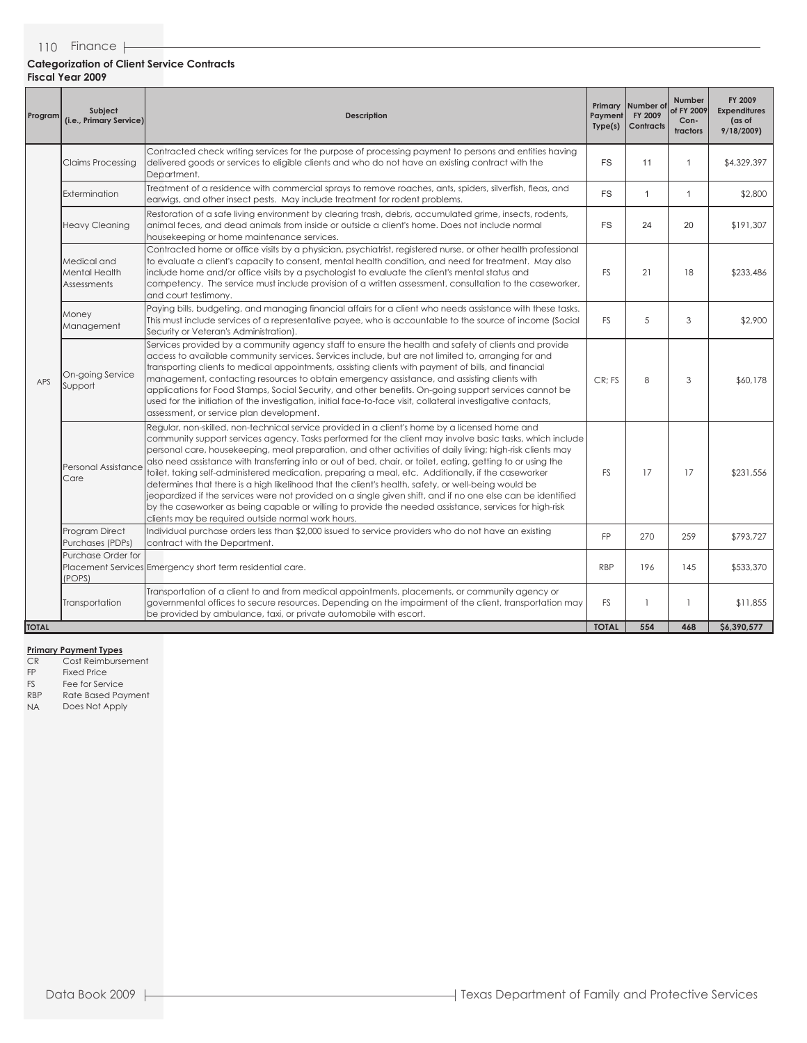| Program      | <b>Subject</b><br>(i.e., Primary Service)                                                                                                                                                                                                                                                                                                                                                                                                                                                                         | <b>Description</b>                                                                                                                                                                                                                                                                                                                                                                                                                                                                                                                                                                                                                                                                                                                                                                                                                                                                                                                    | Payment<br>Type(s) | Primary Number of<br>FY 2009<br><b>Contracts</b> | <b>Number</b><br>of FY 2009<br>Con-<br>tractors | FY 2009<br><b>Expenditures</b><br>(as of<br>9/18/2009 |
|--------------|-------------------------------------------------------------------------------------------------------------------------------------------------------------------------------------------------------------------------------------------------------------------------------------------------------------------------------------------------------------------------------------------------------------------------------------------------------------------------------------------------------------------|---------------------------------------------------------------------------------------------------------------------------------------------------------------------------------------------------------------------------------------------------------------------------------------------------------------------------------------------------------------------------------------------------------------------------------------------------------------------------------------------------------------------------------------------------------------------------------------------------------------------------------------------------------------------------------------------------------------------------------------------------------------------------------------------------------------------------------------------------------------------------------------------------------------------------------------|--------------------|--------------------------------------------------|-------------------------------------------------|-------------------------------------------------------|
|              | <b>Claims Processing</b>                                                                                                                                                                                                                                                                                                                                                                                                                                                                                          | Contracted check writing services for the purpose of processing payment to persons and entities having<br>delivered goods or services to eligible clients and who do not have an existing contract with the<br>Department.                                                                                                                                                                                                                                                                                                                                                                                                                                                                                                                                                                                                                                                                                                            | <b>FS</b>          | 11                                               | $\mathbf{1}$                                    | \$4,329,397                                           |
|              | Extermination                                                                                                                                                                                                                                                                                                                                                                                                                                                                                                     | Treatment of a residence with commercial sprays to remove roaches, ants, spiders, silverfish, fleas, and<br>earwigs, and other insect pests. May include treatment for rodent problems.                                                                                                                                                                                                                                                                                                                                                                                                                                                                                                                                                                                                                                                                                                                                               | <b>FS</b>          | $\mathbf{1}$                                     | $\mathbf{1}$                                    | \$2,800                                               |
|              | <b>Heavy Cleaning</b>                                                                                                                                                                                                                                                                                                                                                                                                                                                                                             | Restoration of a safe living environment by clearing trash, debris, accumulated grime, insects, rodents,<br>animal feces, and dead animals from inside or outside a client's home. Does not include normal<br>housekeeping or home maintenance services.                                                                                                                                                                                                                                                                                                                                                                                                                                                                                                                                                                                                                                                                              | <b>FS</b>          | 24                                               | 20                                              | \$191,307                                             |
|              | Contracted home or office visits by a physician, psychiatrist, registered nurse, or other health professional<br>to evaluate a client's capacity to consent, mental health condition, and need for treatment. May also<br>Medical and<br>include home and/or office visits by a psychologist to evaluate the client's mental status and<br><b>Mental Health</b><br>competency. The service must include provision of a written assessment, consultation to the caseworker,<br>Assessments<br>and court testimony. |                                                                                                                                                                                                                                                                                                                                                                                                                                                                                                                                                                                                                                                                                                                                                                                                                                                                                                                                       | FS.                | 21                                               | 18                                              | \$233,486                                             |
| APS          | Money<br>Management                                                                                                                                                                                                                                                                                                                                                                                                                                                                                               | Paying bills, budgeting, and managing financial affairs for a client who needs assistance with these tasks.<br>This must include services of a representative payee, who is accountable to the source of income (Social<br>Security or Veteran's Administration).                                                                                                                                                                                                                                                                                                                                                                                                                                                                                                                                                                                                                                                                     | FS.                | 5                                                | 3                                               | \$2,900                                               |
|              | On-going Service<br>Support                                                                                                                                                                                                                                                                                                                                                                                                                                                                                       | Services provided by a community agency staff to ensure the health and safety of clients and provide<br>access to available community services. Services include, but are not limited to, arranging for and<br>transporting clients to medical appointments, assisting clients with payment of bills, and financial<br>management, contacting resources to obtain emergency assistance, and assisting clients with<br>applications for Food Stamps, Social Security, and other benefits. On-going support services cannot be<br>used for the initiation of the investigation, initial face-to-face visit, collateral investigative contacts,<br>assessment, or service plan development.                                                                                                                                                                                                                                              | CR; FS             | 8                                                | 3                                               | \$60,178                                              |
|              | <b>Personal Assistance</b><br>Care                                                                                                                                                                                                                                                                                                                                                                                                                                                                                | Regular, non-skilled, non-technical service provided in a client's home by a licensed home and<br>community support services agency. Tasks performed for the client may involve basic tasks, which include<br>personal care, housekeeping, meal preparation, and other activities of daily living; high-risk clients may<br>also need assistance with transferring into or out of bed, chair, or toilet, eating, getting to or using the<br>toilet, taking self-administered medication, preparing a meal, etc. Additionally, if the caseworker<br>determines that there is a high likelihood that the client's health, safety, or well-being would be<br>jeopardized if the services were not provided on a single given shift, and if no one else can be identified<br>by the caseworker as being capable or willing to provide the needed assistance, services for high-risk<br>clients may be required outside normal work hours. | FS.                | 17                                               | 17                                              | \$231,556                                             |
|              | Program Direct<br>Purchases (PDPs)                                                                                                                                                                                                                                                                                                                                                                                                                                                                                | Individual purchase orders less than \$2,000 issued to service providers who do not have an existing<br>contract with the Department.                                                                                                                                                                                                                                                                                                                                                                                                                                                                                                                                                                                                                                                                                                                                                                                                 | FP                 | 270                                              | 259                                             | \$793,727                                             |
|              | Purchase Order for<br>(POPS)                                                                                                                                                                                                                                                                                                                                                                                                                                                                                      | Placement Services Emergency short term residential care.                                                                                                                                                                                                                                                                                                                                                                                                                                                                                                                                                                                                                                                                                                                                                                                                                                                                             | <b>RBP</b>         | 196                                              | 145                                             | \$533,370                                             |
|              | Transportation                                                                                                                                                                                                                                                                                                                                                                                                                                                                                                    | Transportation of a client to and from medical appointments, placements, or community agency or<br>governmental offices to secure resources. Depending on the impairment of the client, transportation may<br>be provided by ambulance, taxi, or private automobile with escort.                                                                                                                                                                                                                                                                                                                                                                                                                                                                                                                                                                                                                                                      | FS                 | $\mathbf{1}$                                     | $\mathbf{1}$                                    | \$11,855                                              |
| <b>TOTAL</b> |                                                                                                                                                                                                                                                                                                                                                                                                                                                                                                                   |                                                                                                                                                                                                                                                                                                                                                                                                                                                                                                                                                                                                                                                                                                                                                                                                                                                                                                                                       | <b>TOTAL</b>       | 554                                              | 468                                             | \$6,390,577                                           |

# **Primary Payment Types**<br>
CR Cost Reimburse

CR Cost Reimbursement<br>FP Fixed Price

- FP Fixed Price<br>FS Fee for Serv
- 

FS Fee for Service<br>RBP Rate Based Pay RBP Rate Based Payment<br>NA Does Not Apply

Does Not Apply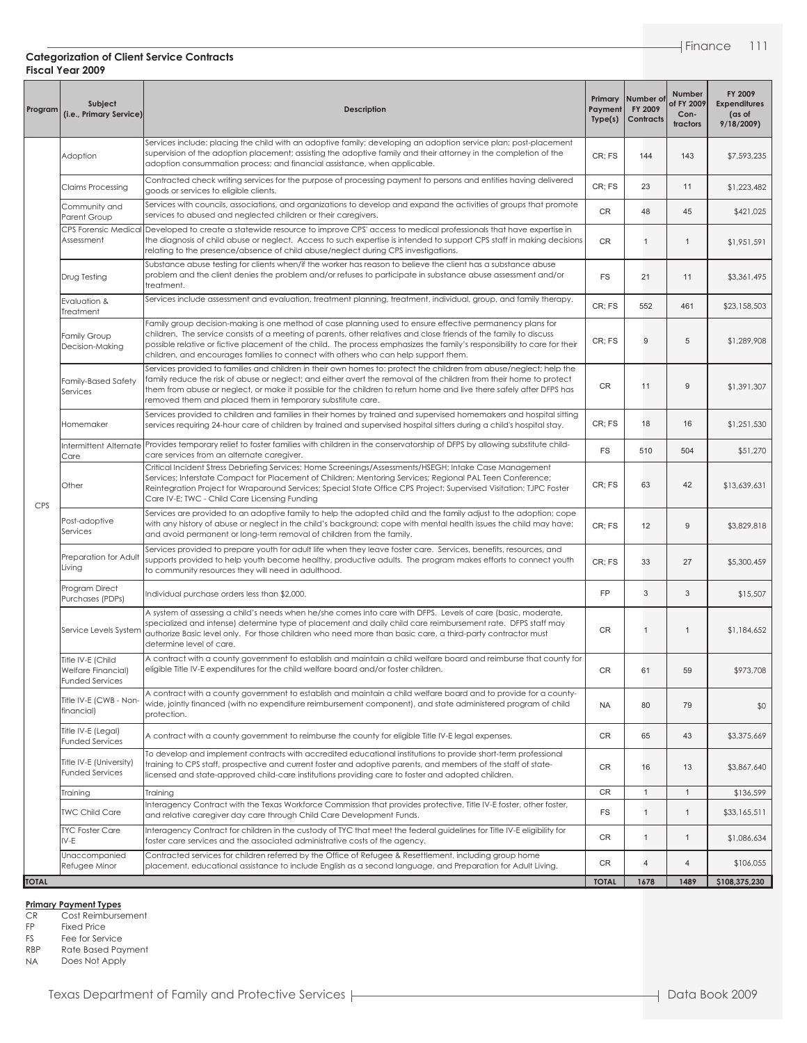| Program      | Subject<br>(i.e., Primary Service)                                | Description                                                                                                                                                                                                                                                                                                                                                                                                                                         | Payment<br>Type(s) | Primary Number of<br>FY 2009<br>Contracts | Number<br>of FY 2009<br>Con-<br>tractors | FY 2009<br><b>Expenditures</b><br>(as of<br>9/18/2009 |
|--------------|-------------------------------------------------------------------|-----------------------------------------------------------------------------------------------------------------------------------------------------------------------------------------------------------------------------------------------------------------------------------------------------------------------------------------------------------------------------------------------------------------------------------------------------|--------------------|-------------------------------------------|------------------------------------------|-------------------------------------------------------|
|              | Adoption                                                          | Services include: placing the child with an adoptive family; developing an adoption service plan; post-placement<br>supervision of the adoption placement; assisting the adoptive family and their attorney in the completion of the<br>adoption consummation process; and financial assistance, when applicable.                                                                                                                                   | CR: FS             | 144                                       | 143                                      | \$7,593,235                                           |
|              | Claims Processing                                                 | Contracted check writing services for the purpose of processing payment to persons and entities having delivered<br>goods or services to eligible clients.                                                                                                                                                                                                                                                                                          | CR; FS             | 23                                        | 11                                       | \$1,223,482                                           |
|              | Community and<br>Parent Group                                     | Services with councils, associations, and organizations to develop and expand the activities of groups that promote<br>services to abused and neglected children or their caregivers.                                                                                                                                                                                                                                                               | CR                 | 48                                        | 45                                       | \$421,025                                             |
|              | Assessment                                                        | CPS Forensic Medical Developed to create a statewide resource to improve CPS' access to medical professionals that have expertise in<br>the diagnosis of child abuse or neglect. Access to such expertise is intended to support CPS staff in making decisions<br>relating to the presence/absence of child abuse/neglect during CPS investigations.                                                                                                | <b>CR</b>          | $\mathbf{1}$                              | $\mathbf{1}$                             | \$1,951,591                                           |
|              | Drug Testing                                                      | Substance abuse testing for clients when/if the worker has reason to believe the client has a substance abuse<br>problem and the client denies the problem and/or refuses to participate in substance abuse assessment and/or<br>treatment.                                                                                                                                                                                                         | <b>FS</b>          | 21                                        | 11                                       | \$3,361,495                                           |
|              | Evaluation &<br>Treatment                                         | Services include assessment and evaluation, treatment planning, treatment, individual, group, and family therapy.                                                                                                                                                                                                                                                                                                                                   | CR; FS             | 552                                       | 461                                      | \$23,158,503                                          |
|              | Family Group<br>Decision-Making                                   | Family group decision-making is one method of case planning used to ensure effective permanency plans for<br>children. The service consists of a meeting of parents, other relatives and close friends of the family to discuss<br>possible relative or fictive placement of the child. The process emphasizes the family's responsibility to care for their<br>children, and encourages families to connect with others who can help support them. | CR; FS             | 9                                         | 5                                        | \$1,289,908                                           |
|              | Family-Based Safety<br>Services                                   | Services provided to families and children in their own homes to: protect the children from abuse/neglect; help the<br>family reduce the risk of abuse or neglect; and either avert the removal of the children from their home to protect<br>them from abuse or neglect, or make it possible for the children to return home and live there safely after DFPS has<br>removed them and placed them in temporary substitute care.                    | CR                 | 11                                        | 9                                        | \$1,391,307                                           |
|              | Homemaker                                                         | Services provided to children and families in their homes by trained and supervised homemakers and hospital sitting<br>services requiring 24-hour care of children by trained and supervised hospital sitters during a child's hospital stay.                                                                                                                                                                                                       | CR; FS             | 18                                        | 16                                       | \$1,251,530                                           |
|              | Care                                                              | Intermittent Alternate Provides temporary relief to foster families with children in the conservatorship of DFPS by allowing substitute child-<br>care services from an alternate caregiver.                                                                                                                                                                                                                                                        | <b>FS</b>          | 510                                       | 504                                      | \$51,270                                              |
|              | Other                                                             | Critical Incident Stress Debriefing Services; Home Screenings/Assessments/HSEGH; Intake Case Management<br>Services; Interstate Compact for Placement of Children; Mentoring Services; Regional PAL Teen Conference;<br>Reintegration Project for Wraparound Services; Special State Office CPS Project; Supervised Visitation; TJPC Foster<br>Care IV-E; TWC - Child Care Licensing Funding                                                        | CR; FS             | 63                                        | 42                                       | \$13,639,631                                          |
| <b>CPS</b>   | Post-adoptive<br>Services                                         | Services are provided to an adoptive family to help the adopted child and the family adjust to the adoption; cope<br>with any history of abuse or neglect in the child's background; cope with mental health issues the child may have;<br>and avoid permanent or long-term removal of children from the family.                                                                                                                                    | CR; FS             | 12                                        | 9                                        | \$3,829,818                                           |
|              | Preparation for Adult<br>Living                                   | Services provided to prepare youth for adult life when they leave foster care. Services, benefits, resources, and<br>supports provided to help youth become healthy, productive adults. The program makes efforts to connect youth<br>to community resources they will need in adulthood.                                                                                                                                                           | CR; FS             | 33                                        | 27                                       | \$5,300,459                                           |
|              | Program Direct<br>Purchases (PDPs)                                | Individual purchase orders less than \$2,000.                                                                                                                                                                                                                                                                                                                                                                                                       | <b>FP</b>          | 3                                         | 3                                        | \$15,507                                              |
|              | Service Levels System                                             | A system of assessing a child's needs when he/she comes into care with DFPS. Levels of care (basic, moderate,<br>specialized and intense) determine type of placement and daily child care reimbursement rate. DFPS staff may<br>authorize Basic level only. For those children who need more than basic care, a third-party contractor must<br>determine level of care.                                                                            |                    | $\mathbf{1}$                              | $\mathbf{1}$                             | \$1,184,652                                           |
|              | Title IV-E (Child<br>Welfare Financial)<br><b>Funded Services</b> | A contract with a county government to establish and maintain a child welfare board and reimburse that county for<br>eligible Title IV-E expenditures for the child welfare board and/or foster children.                                                                                                                                                                                                                                           | CR                 | 61                                        | 59                                       | \$973,708                                             |
|              | Title IV-E (CWB - Non-<br>financial)                              | A contract with a county government to establish and maintain a child welfare board and to provide for a county-<br>wide, jointly financed (with no expenditure reimbursement component), and state administered program of child<br>protection.                                                                                                                                                                                                    | <b>NA</b>          | 80                                        | 79                                       | \$0                                                   |
|              | Title IV-E (Legal)<br><b>Funded Services</b>                      | A contract with a county government to reimburse the county for eligible Title IV-E legal expenses.                                                                                                                                                                                                                                                                                                                                                 | CR                 | 65                                        | 43                                       | \$3,375,669                                           |
|              | Title IV-E (University)<br><b>Funded Services</b>                 | To develop and implement contracts with accredited educational institutions to provide short-term professional<br>training to CPS staff, prospective and current foster and adoptive parents, and members of the staff of state-<br>licensed and state-approved child-care institutions providing care to foster and adopted children.                                                                                                              |                    | 16                                        | 13                                       | \$3,867,640                                           |
|              | Training                                                          | Training<br>Interagency Contract with the Texas Workforce Commission that provides protective, Title IV-E foster, other foster,                                                                                                                                                                                                                                                                                                                     | CR                 | $\mathbf{1}$                              | $\mathbf{1}$                             | \$136,599                                             |
|              | <b>TWC Child Care</b>                                             | and relative caregiver day care through Child Care Development Funds.                                                                                                                                                                                                                                                                                                                                                                               | FS                 | $\mathbf{1}$                              | $\mathbf{1}$                             | \$33,165,511                                          |
|              | <b>TYC Foster Care</b><br>IV-E                                    | Interagency Contract for children in the custody of TYC that meet the federal guidelines for Title IV-E eligibility for<br>foster care services and the associated administrative costs of the agency.                                                                                                                                                                                                                                              | CR                 | $\mathbf{1}$                              | $\mathbf{1}$                             | \$1,086,634                                           |
|              | Unaccompanied<br>Refugee Minor                                    | Contracted services for children referred by the Office of Refugee & Resettlement, including group home<br>placement, educational assistance to include English as a second language, and Preparation for Adult Living.                                                                                                                                                                                                                             | CR                 | $\overline{4}$                            | $\overline{4}$                           | \$106,055                                             |
| <b>TOTAL</b> |                                                                   |                                                                                                                                                                                                                                                                                                                                                                                                                                                     | <b>TOTAL</b>       | 1678                                      | 1489                                     | \$108,375,230                                         |

**Primary Payment Types**

CR Cost Reimbursement

FP Fixed Price<br>FS Fee for Serv

FS Fee for Service<br>RBP Rate Based Pay Rate Based Payment

NA Does Not Apply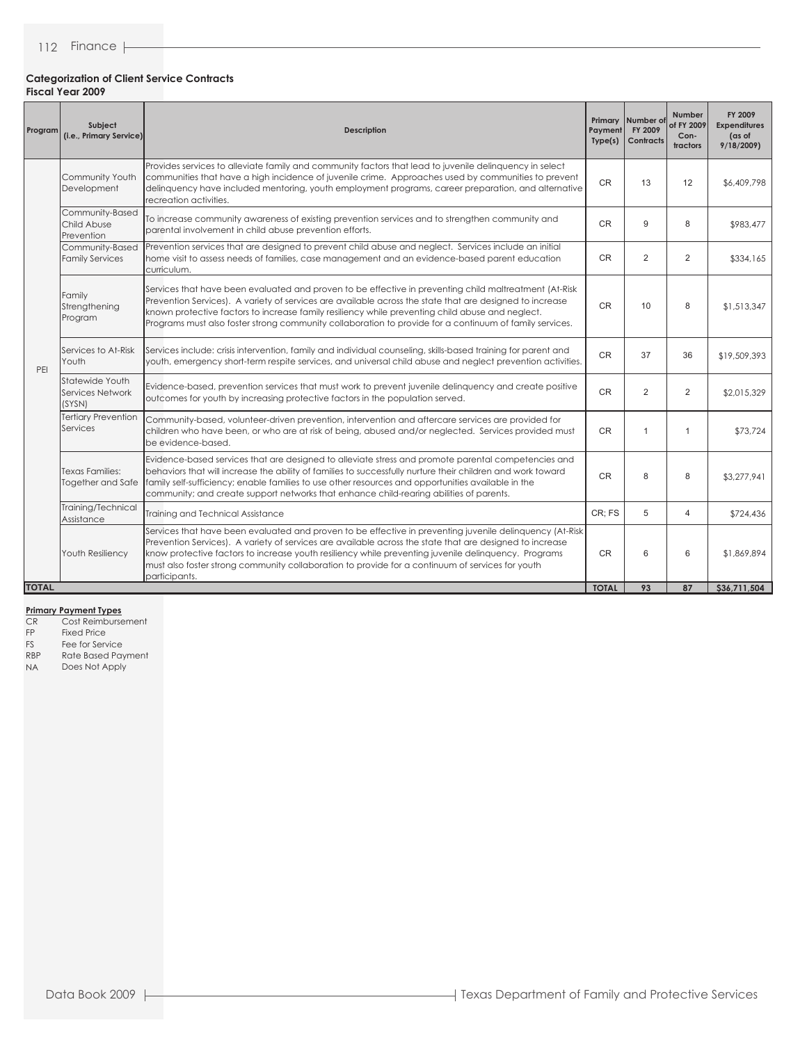| Program      | Subject<br>(i.e., Primary Service)                                                                                                                                                                         | Payment<br><b>Description</b><br>Type(s)                                                                                                                                                                                                                                                                                                                                                                                                          |              | Primary Number of<br>FY 2009<br><b>Contracts</b> | <b>Number</b><br>of FY 2009<br>Con-<br>tractors | FY 2009<br><b>Expenditures</b><br>(as of<br>9/18/2009 |
|--------------|------------------------------------------------------------------------------------------------------------------------------------------------------------------------------------------------------------|---------------------------------------------------------------------------------------------------------------------------------------------------------------------------------------------------------------------------------------------------------------------------------------------------------------------------------------------------------------------------------------------------------------------------------------------------|--------------|--------------------------------------------------|-------------------------------------------------|-------------------------------------------------------|
|              | Community Youth<br>Development                                                                                                                                                                             | Provides services to alleviate family and community factors that lead to juvenile delinquency in select<br>communities that have a high incidence of juvenile crime. Approaches used by communities to prevent<br>delinquency have included mentoring, youth employment programs, career preparation, and alternative<br>recreation activities.                                                                                                   | <b>CR</b>    | 13                                               | 12                                              | \$6,409,798                                           |
|              | Community-Based<br>To increase community awareness of existing prevention services and to strengthen community and<br>Child Abuse<br>parental involvement in child abuse prevention efforts.<br>Prevention |                                                                                                                                                                                                                                                                                                                                                                                                                                                   | <b>CR</b>    | 9                                                | 8                                               | \$983,477                                             |
|              | Community-Based<br><b>Family Services</b>                                                                                                                                                                  | Prevention services that are designed to prevent child abuse and neglect. Services include an initial<br>home visit to assess needs of families, case management and an evidence-based parent education<br>curriculum.                                                                                                                                                                                                                            | <b>CR</b>    | 2                                                | $\overline{2}$                                  | \$334,165                                             |
| PFI          | Family<br>Strengthening<br>Program                                                                                                                                                                         | Services that have been evaluated and proven to be effective in preventing child maltreatment (At-Risk<br>Prevention Services). A variety of services are available across the state that are designed to increase<br>known protective factors to increase family resiliency while preventing child abuse and neglect.<br>Programs must also foster strong community collaboration to provide for a continuum of family services.                 | <b>CR</b>    | 10                                               | 8                                               | \$1,513,347                                           |
|              | Services to At-Risk<br>Youth                                                                                                                                                                               | Services include: crisis intervention, family and individual counseling, skills-based training for parent and<br>youth, emergency short-term respite services, and universal child abuse and neglect prevention activities.                                                                                                                                                                                                                       | <b>CR</b>    | 37                                               | 36                                              | \$19,509,393                                          |
|              | Statewide Youth<br>Services Network<br>(SYSN)                                                                                                                                                              | Evidence-based, prevention services that must work to prevent juvenile delinguency and create positive<br>outcomes for youth by increasing protective factors in the population served.                                                                                                                                                                                                                                                           | <b>CR</b>    | 2                                                | $\overline{2}$                                  | \$2,015,329                                           |
|              | <b>Tertiary Prevention</b><br>Services                                                                                                                                                                     | Community-based, volunteer-driven prevention, intervention and aftercare services are provided for<br>children who have been, or who are at risk of being, abused and/or neglected. Services provided must<br>be evidence-based.                                                                                                                                                                                                                  | <b>CR</b>    | $\mathbf{1}$                                     | $\mathbf{1}$                                    | \$73,724                                              |
|              | Texas Families:<br>Together and Safe                                                                                                                                                                       | Evidence-based services that are designed to alleviate stress and promote parental competencies and<br>behaviors that will increase the ability of families to successfully nurture their children and work toward<br>family self-sufficiency; enable families to use other resources and opportunities available in the<br>community; and create support networks that enhance child-rearing abilities of parents.                               | <b>CR</b>    | 8                                                | 8                                               | \$3,277,941                                           |
|              | Training/Technical<br>Assistance                                                                                                                                                                           | Training and Technical Assistance                                                                                                                                                                                                                                                                                                                                                                                                                 | CR; FS       | 5                                                | $\overline{4}$                                  | \$724,436                                             |
|              | Youth Resiliency                                                                                                                                                                                           | Services that have been evaluated and proven to be effective in preventing juvenile delinguency (At-Risk<br>Prevention Services). A variety of services are available across the state that are designed to increase<br>know protective factors to increase youth resiliency while preventing juvenile delinguency. Programs<br>must also foster strong community collaboration to provide for a continuum of services for youth<br>participants. | <b>CR</b>    | 6                                                | 6                                               | \$1,869,894                                           |
| <b>TOTAL</b> |                                                                                                                                                                                                            |                                                                                                                                                                                                                                                                                                                                                                                                                                                   | <b>TOTAL</b> | 93                                               | 87                                              | \$36,711,504                                          |

#### **Primary Payment Types**

- CR Cost Reimbursement
- FP Fixed Price<br>FS Fee for Serv
- FS Fee for Service<br>RBP Rate Based Pay
- RBP Rate Based Payment<br>NA Does Not Apply Does Not Apply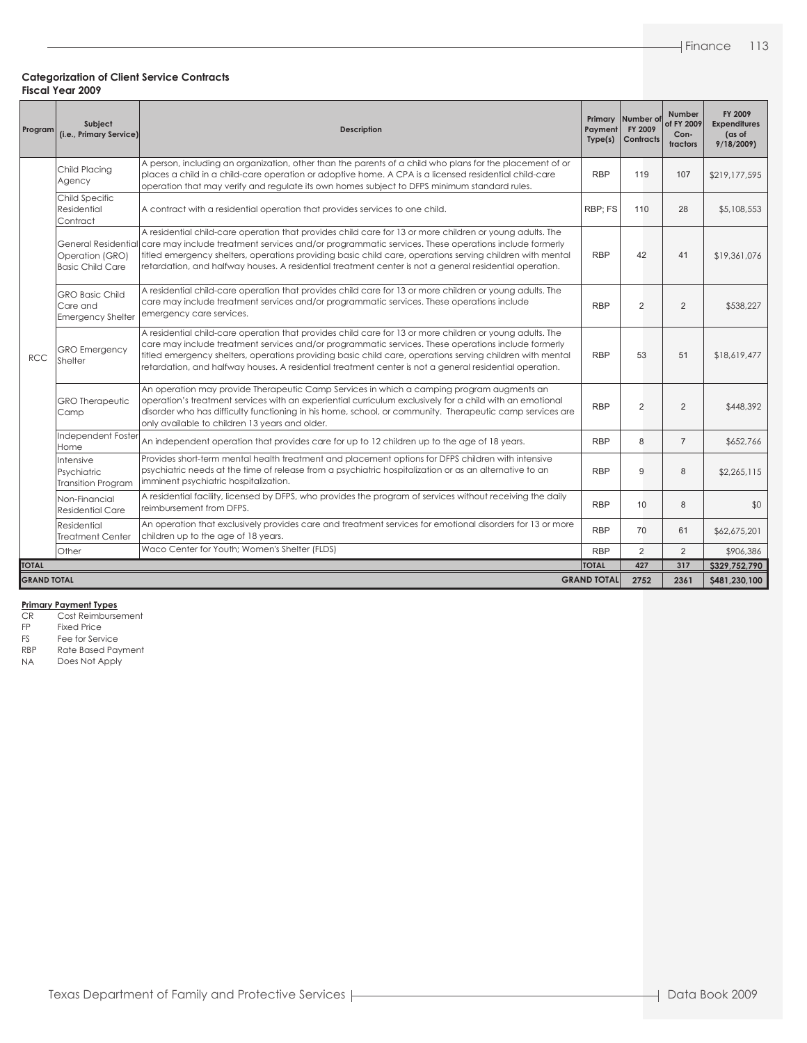| Program            | Subject<br>(i.e., Primary Service)                             | <b>Description</b>                                                                                                                                                                                                                                                                                                                                                                                                                                          | Primary<br>Payment<br>Type(s) | Number of<br>FY 2009<br>Contracts | Number<br>of FY 2009<br>Con-<br>tractors | FY 2009<br><b>Expenditures</b><br>(as of<br>9/18/2009 |
|--------------------|----------------------------------------------------------------|-------------------------------------------------------------------------------------------------------------------------------------------------------------------------------------------------------------------------------------------------------------------------------------------------------------------------------------------------------------------------------------------------------------------------------------------------------------|-------------------------------|-----------------------------------|------------------------------------------|-------------------------------------------------------|
|                    | Child Placing<br>Agency                                        | A person, including an organization, other than the parents of a child who plans for the placement of or<br>places a child in a child-care operation or adoptive home. A CPA is a licensed residential child-care<br>operation that may verify and regulate its own homes subject to DFPS minimum standard rules.                                                                                                                                           | <b>RBP</b>                    | 119                               | 107                                      | \$219,177,595                                         |
| <b>RCC</b>         | Child Specific<br>Residential<br>Contract                      | A contract with a residential operation that provides services to one child.                                                                                                                                                                                                                                                                                                                                                                                | RBP; FS                       | 110                               | 28                                       | \$5,108,553                                           |
|                    | Operation (GRO)<br><b>Basic Child Care</b>                     | A residential child-care operation that provides child care for 13 or more children or young adults. The<br>General Residential care may include treatment services and/or programmatic services. These operations include formerly<br>titled emergency shelters, operations providing basic child care, operations serving children with mental<br>retardation, and halfway houses. A residential treatment center is not a general residential operation. | <b>RBP</b>                    | 42                                | 41                                       | \$19,361,076                                          |
|                    | <b>GRO Basic Child</b><br>Care and<br><b>Emergency Shelter</b> | A residential child-care operation that provides child care for 13 or more children or young adults. The<br>care may include treatment services and/or programmatic services. These operations include<br>emergency care services.                                                                                                                                                                                                                          | <b>RBP</b>                    | $\overline{2}$                    | 2                                        | \$538,227                                             |
|                    | <b>GRO</b> Emergency<br>Shelter                                | A residential child-care operation that provides child care for 13 or more children or young adults. The<br>care may include treatment services and/or programmatic services. These operations include formerly<br>titled emergency shelters, operations providing basic child care, operations serving children with mental<br>retardation, and halfway houses. A residential treatment center is not a general residential operation.                     | <b>RBP</b>                    | 53                                | 51                                       | \$18,619,477                                          |
|                    | <b>GRO</b> Therapeutic<br>Camp                                 | An operation may provide Therapeutic Camp Services in which a camping program augments an<br>operation's treatment services with an experiential curriculum exclusively for a child with an emotional<br>disorder who has difficulty functioning in his home, school, or community. Therapeutic camp services are<br>only available to children 13 years and older.                                                                                         | <b>RBP</b>                    | $\overline{2}$                    | 2                                        | \$448,392                                             |
|                    | Independent Foster<br>Home                                     | An independent operation that provides care for up to 12 children up to the age of 18 years.                                                                                                                                                                                                                                                                                                                                                                | <b>RBP</b>                    | 8                                 | $\overline{7}$                           | \$652,766                                             |
|                    | Intensive<br>Psychiatric<br><b>Transition Program</b>          | Provides short-term mental health treatment and placement options for DFPS children with intensive<br>psychiatric needs at the time of release from a psychiatric hospitalization or as an alternative to an<br>imminent psychiatric hospitalization.                                                                                                                                                                                                       |                               | 9                                 | 8                                        | \$2,265,115                                           |
|                    | Non-Financial<br><b>Residential Care</b>                       | A residential facility, licensed by DFPS, who provides the program of services without receiving the daily<br>reimbursement from DFPS.                                                                                                                                                                                                                                                                                                                      | <b>RBP</b>                    | 10                                | 8                                        | \$0                                                   |
|                    | Residential<br><b>Treatment Center</b>                         | An operation that exclusively provides care and treatment services for emotional disorders for 13 or more<br>children up to the age of 18 years.                                                                                                                                                                                                                                                                                                            | <b>RBP</b>                    | 70                                | 61                                       | \$62,675,201                                          |
|                    | Other                                                          | Waco Center for Youth; Women's Shelter (FLDS)                                                                                                                                                                                                                                                                                                                                                                                                               | <b>RBP</b>                    | $\overline{2}$                    | 2                                        | \$906,386                                             |
| <b>TOTAL</b>       |                                                                |                                                                                                                                                                                                                                                                                                                                                                                                                                                             | <b>TOTAL</b>                  | 427                               | 317                                      | \$329,752,790                                         |
| <b>GRAND TOTAL</b> |                                                                |                                                                                                                                                                                                                                                                                                                                                                                                                                                             | <b>GRAND TOTAL</b>            | 2752                              | 2361                                     | \$481,230,100                                         |

#### **Primary Payment Types**

CR Cost Reimbursement

FP Fixed Price<br>FS Fee for Serv

FS Fee for Service<br>RBP Rate Based Pay RBP Rate Based Payment<br>NA Does Not Apply

Does Not Apply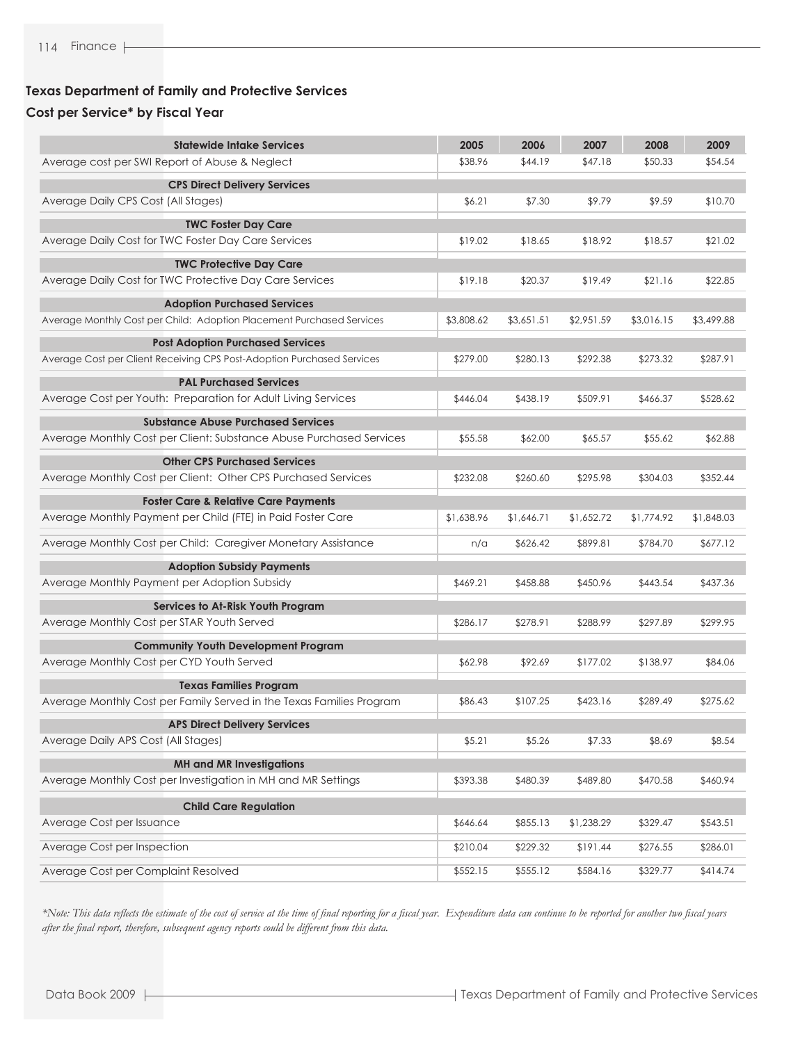### **Texas Department of Family and Protective Services**

### **Cost per Service\* by Fiscal Year**

| <b>Statewide Intake Services</b>                                       | 2005       | 2006       | 2007       | 2008       | 2009       |
|------------------------------------------------------------------------|------------|------------|------------|------------|------------|
| Average cost per SWI Report of Abuse & Neglect                         | \$38.96    | \$44.19    | \$47.18    | \$50.33    | \$54.54    |
| <b>CPS Direct Delivery Services</b>                                    |            |            |            |            |            |
| Average Daily CPS Cost (All Stages)                                    | \$6.21     | \$7.30     | \$9.79     | \$9.59     | \$10.70    |
| <b>TWC Foster Day Care</b>                                             |            |            |            |            |            |
| Average Daily Cost for TWC Foster Day Care Services                    | \$19.02    | \$18.65    | \$18.92    | \$18.57    | \$21.02    |
| <b>TWC Protective Day Care</b>                                         |            |            |            |            |            |
| Average Daily Cost for TWC Protective Day Care Services                | \$19.18    | \$20.37    | \$19.49    | \$21.16    | \$22.85    |
| <b>Adoption Purchased Services</b>                                     |            |            |            |            |            |
| Average Monthly Cost per Child: Adoption Placement Purchased Services  | \$3,808.62 | \$3,651.51 | \$2,951.59 | \$3,016.15 | \$3,499.88 |
| <b>Post Adoption Purchased Services</b>                                |            |            |            |            |            |
| Average Cost per Client Receiving CPS Post-Adoption Purchased Services | \$279.00   | \$280.13   | \$292.38   | \$273.32   | \$287.91   |
| <b>PAL Purchased Services</b>                                          |            |            |            |            |            |
| Average Cost per Youth: Preparation for Adult Living Services          | \$446.04   | \$438.19   | \$509.91   | \$466.37   | \$528.62   |
| <b>Substance Abuse Purchased Services</b>                              |            |            |            |            |            |
| Average Monthly Cost per Client: Substance Abuse Purchased Services    | \$55.58    | \$62.00    | \$65.57    | \$55.62    | \$62.88    |
| <b>Other CPS Purchased Services</b>                                    |            |            |            |            |            |
| Average Monthly Cost per Client: Other CPS Purchased Services          | \$232.08   | \$260.60   | \$295.98   | \$304.03   | \$352.44   |
| <b>Foster Care &amp; Relative Care Payments</b>                        |            |            |            |            |            |
| Average Monthly Payment per Child (FTE) in Paid Foster Care            | \$1,638.96 | \$1,646.71 | \$1,652.72 | \$1,774.92 | \$1,848.03 |
| Average Monthly Cost per Child: Caregiver Monetary Assistance          | n/a        | \$626.42   | \$899.81   | \$784.70   | \$677.12   |
| <b>Adoption Subsidy Payments</b>                                       |            |            |            |            |            |
| Average Monthly Payment per Adoption Subsidy                           | \$469.21   | \$458.88   | \$450.96   | \$443.54   | \$437.36   |
| Services to At-Risk Youth Program                                      |            |            |            |            |            |
| Average Monthly Cost per STAR Youth Served                             | \$286.17   | \$278.91   | \$288.99   | \$297.89   | \$299.95   |
| <b>Community Youth Development Program</b>                             |            |            |            |            |            |
| Average Monthly Cost per CYD Youth Served                              | \$62.98    | \$92.69    | \$177.02   | \$138.97   | \$84.06    |
| <b>Texas Families Program</b>                                          |            |            |            |            |            |
| Average Monthly Cost per Family Served in the Texas Families Program   | \$86.43    | \$107.25   | \$423.16   | \$289.49   | \$275.62   |
| <b>APS Direct Delivery Services</b>                                    |            |            |            |            |            |
| Average Daily APS Cost (All Stages)                                    | \$5.21     | \$5.26     | \$7.33     | \$8.69     | \$8.54     |
| <b>MH and MR Investigations</b>                                        |            |            |            |            |            |
| Average Monthly Cost per Investigation in MH and MR Settings           | \$393.38   | \$480.39   | \$489.80   | \$470.58   | \$460.94   |
| <b>Child Care Regulation</b>                                           |            |            |            |            |            |
| Average Cost per Issuance                                              | \$646.64   | \$855.13   | \$1,238.29 | \$329.47   | \$543.51   |
| Average Cost per Inspection                                            | \$210.04   | \$229.32   | \$191.44   | \$276.55   | \$286.01   |
| Average Cost per Complaint Resolved                                    | \$552.15   | \$555.12   | \$584.16   | \$329.77   | \$414.74   |

*\*Note: This data reflects the estimate of the cost of service at the time of final reporting for a fiscal year. Expenditure data can continue to be reported for another two fiscal years after the final report, therefore, subsequent agency reports could be different from this data.*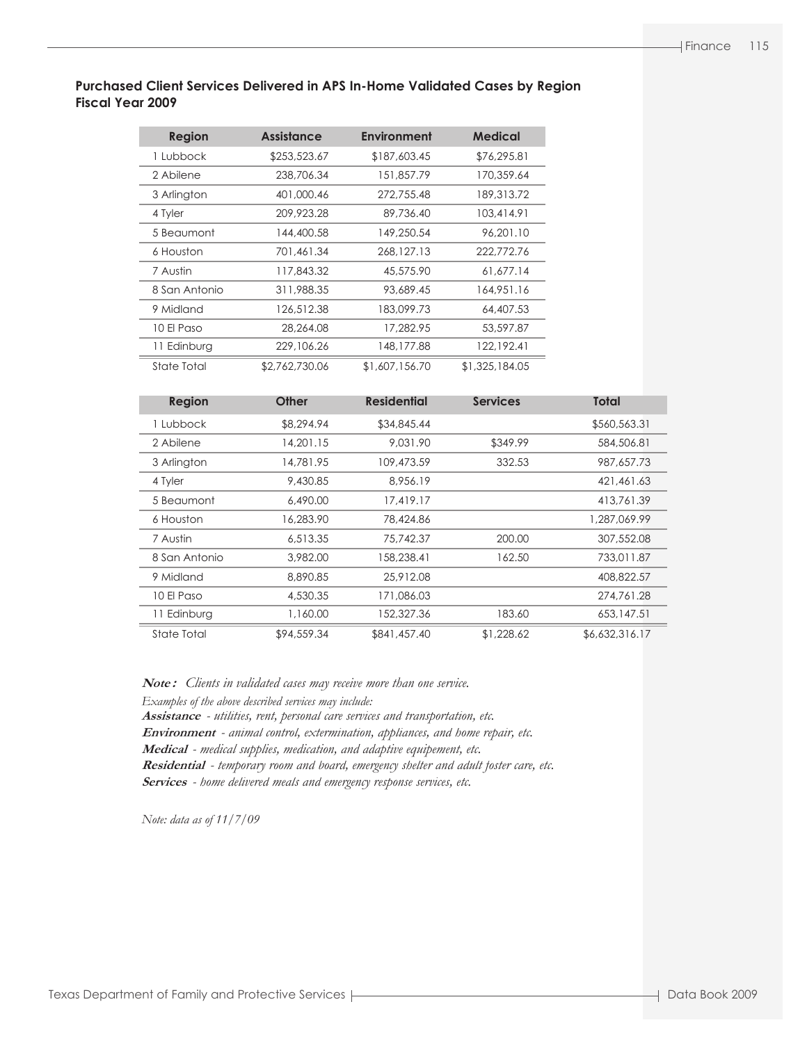### **Purchased Client Services Delivered in APS In-Home Validated Cases by Region Fiscal Year 2009**

| <b>Region</b> | <b>Assistance</b> | <b>Environment</b> | <b>Medical</b> |
|---------------|-------------------|--------------------|----------------|
| 1 Lubbock     | \$253,523.67      | \$187,603.45       | \$76,295.81    |
| 2 Abilene     | 238,706.34        | 151,857.79         | 170.359.64     |
| 3 Arlington   | 401,000.46        | 272,755.48         | 189, 313, 72   |
| 4 Tyler       | 209,923.28        | 89,736.40          | 103,414.91     |
| 5 Beaumont    | 144,400.58        | 149.250.54         | 96.201.10      |
| 6 Houston     | 701,461.34        | 268,127,13         | 222.772.76     |
| 7 Austin      | 117,843.32        | 45,575.90          | 61,677.14      |
| 8 San Antonio | 311,988.35        | 93,689.45          | 164,951.16     |
| 9 Midland     | 126,512.38        | 183,099.73         | 64,407.53      |
| 10 El Paso    | 28,264.08         | 17,282.95          | 53,597.87      |
| 11 Edinburg   | 229,106.26        | 148,177.88         | 122,192.41     |
| State Total   | \$2,762,730.06    | \$1,607,156.70     | \$1,325,184.05 |

| <b>Region</b> | <b>Other</b> | <b>Residential</b> | <b>Services</b> | <b>Total</b>   |
|---------------|--------------|--------------------|-----------------|----------------|
| 1 Lubbock     | \$8,294.94   | \$34,845.44        |                 | \$560,563.31   |
| 2 Abilene     | 14,201.15    | 9,031.90           | \$349.99        | 584,506.81     |
| 3 Arlington   | 14,781.95    | 109,473.59         | 332.53          | 987,657,73     |
| 4 Tyler       | 9,430.85     | 8.956.19           |                 | 421,461.63     |
| 5 Beaumont    | 6,490.00     | 17,419.17          |                 | 413,761.39     |
| 6 Houston     | 16,283.90    | 78,424.86          |                 | 1,287,069.99   |
| 7 Austin      | 6,513.35     | 75,742.37          | 200.00          | 307,552.08     |
| 8 San Antonio | 3,982.00     | 158,238.41         | 162.50          | 733,011.87     |
| 9 Midland     | 8,890.85     | 25,912.08          |                 | 408,822.57     |
| 10 El Paso    | 4,530.35     | 171,086.03         |                 | 274,761.28     |
| 11 Edinburg   | 1,160.00     | 152,327.36         | 183.60          | 653.147.51     |
| State Total   | \$94,559.34  | \$841,457.40       | \$1,228.62      | \$6,632,316.17 |

**Note :** *Clients in validated cases may receive more than one service. Examples of the above described services may include:* **Assistance** *- utilities, rent, personal care services and transportation, etc.* **Environment** *- animal control, extermination, appliances, and home repair, etc.* **Medical** *- medical supplies, medication, and adaptive equipement, etc.* **Residential** *- temporary room and board, emergency shelter and adult foster care, etc.* **Services** *- home delivered meals and emergency response services, etc.*

*Note: data as of 11/7/09*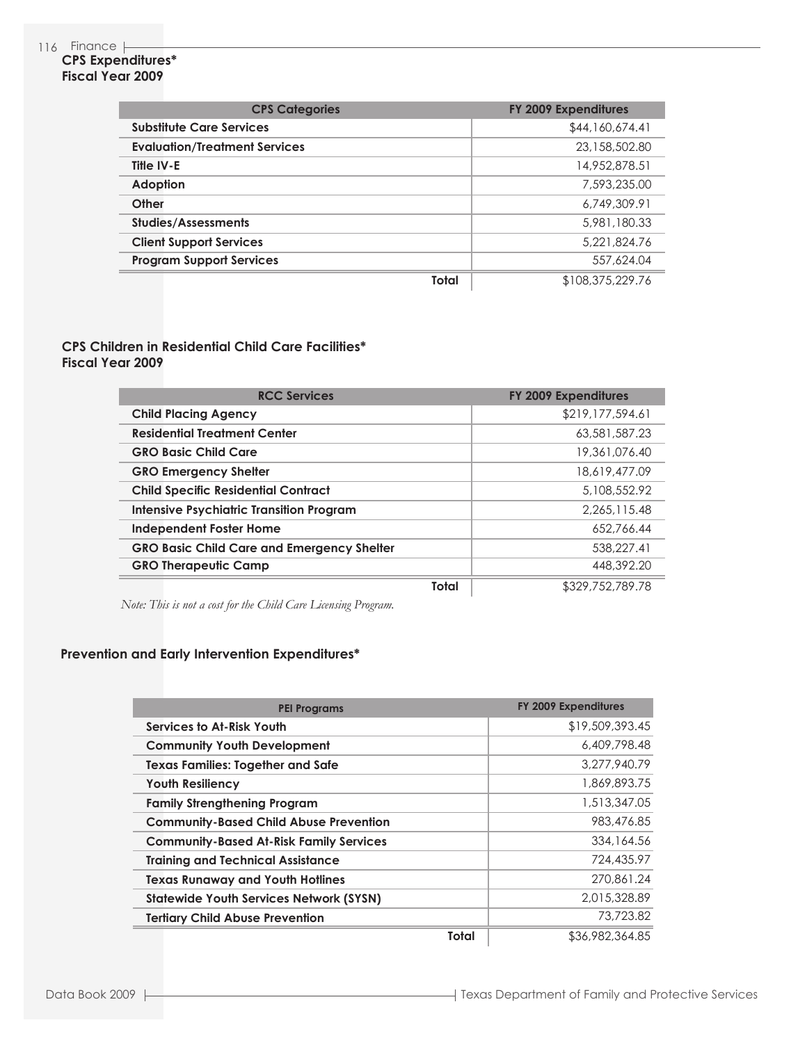### 116 Finance

### **CPS Expenditures\* Fiscal Year 2009**

| <b>CPS Categories</b>                | FY 2009 Expenditures |
|--------------------------------------|----------------------|
| <b>Substitute Care Services</b>      | \$44,160,674.41      |
| <b>Evaluation/Treatment Services</b> | 23,158,502.80        |
| Title IV-E                           | 14,952,878.51        |
| <b>Adoption</b>                      | 7,593,235,00         |
| Other                                | 6.749.309.91         |
| <b>Studies/Assessments</b>           | 5,981,180,33         |
| <b>Client Support Services</b>       | 5.221.824.76         |
| <b>Program Support Services</b>      | 557.624.04           |
| Total                                | \$108,375,229.76     |

### **CPS Children in Residential Child Care Facilities\* Fiscal Year 2009**

| <b>RCC Services</b>                               | FY 2009 Expenditures |
|---------------------------------------------------|----------------------|
| <b>Child Placing Agency</b>                       | \$219,177,594.61     |
| <b>Residential Treatment Center</b>               | 63,581,587,23        |
| <b>GRO Basic Child Care</b>                       | 19,361,076.40        |
| <b>GRO Emergency Shelter</b>                      | 18,619,477.09        |
| <b>Child Specific Residential Contract</b>        | 5,108,552.92         |
| <b>Intensive Psychiatric Transition Program</b>   | 2.265.115.48         |
| <b>Independent Foster Home</b>                    | 652.766.44           |
| <b>GRO Basic Child Care and Emergency Shelter</b> | 538,227.41           |
| <b>GRO Therapeutic Camp</b>                       | 448,392.20           |
| Total                                             | \$329,752,789.78     |

*Note: This is not a cost for the Child Care Licensing Program.*

# **Prevention and Early Intervention Expenditures\***

| <b>PEI Programs</b>                            | <b>FY 2009 Expenditures</b>     |
|------------------------------------------------|---------------------------------|
| Services to At-Risk Youth                      | \$19,509,393.45                 |
| <b>Community Youth Development</b>             | 6,409,798.48                    |
| <b>Texas Families: Together and Safe</b>       | 3,277,940.79                    |
| <b>Youth Resiliency</b>                        | 1,869,893.75                    |
| <b>Family Strengthening Program</b>            | 1,513,347.05                    |
| <b>Community-Based Child Abuse Prevention</b>  | 983,476.85                      |
| <b>Community-Based At-Risk Family Services</b> | 334,164.56                      |
| <b>Training and Technical Assistance</b>       | 724,435.97                      |
| <b>Texas Runaway and Youth Hotlines</b>        | 270,861.24                      |
| <b>Statewide Youth Services Network (SYSN)</b> | 2.015.328.89                    |
| <b>Tertiary Child Abuse Prevention</b>         | 73,723.82                       |
|                                                | <b>Total</b><br>\$36,982,364.85 |